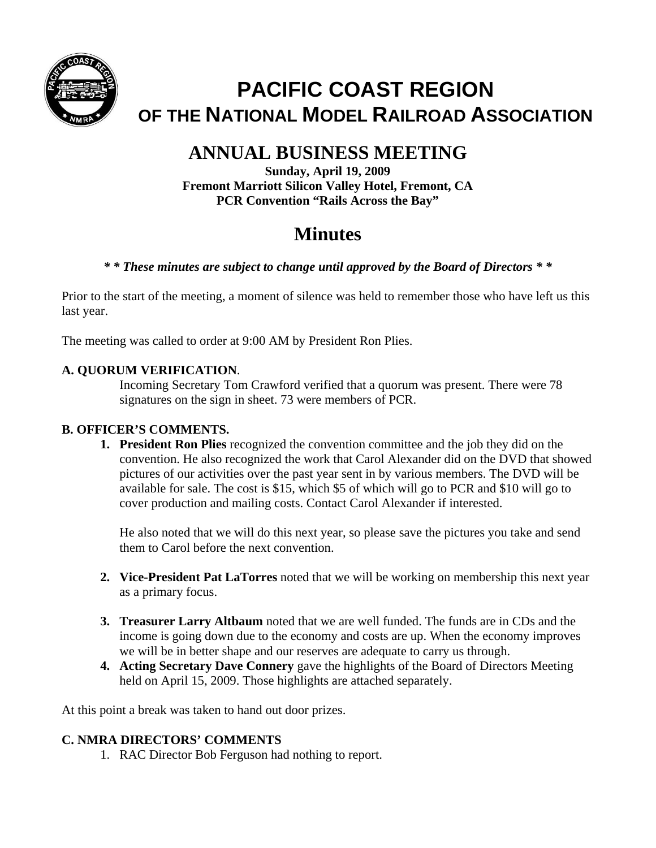

# **PACIFIC COAST REGION OF THE NATIONAL MODEL RAILROAD ASSOCIATION**

## **ANNUAL BUSINESS MEETING**

**Sunday, April 19, 2009 Fremont Marriott Silicon Valley Hotel, Fremont, CA PCR Convention "Rails Across the Bay"** 

## **Minutes**

## *\* \* These minutes are subject to change until approved by the Board of Directors \* \**

Prior to the start of the meeting, a moment of silence was held to remember those who have left us this last year.

The meeting was called to order at 9:00 AM by President Ron Plies.

## **A. QUORUM VERIFICATION**.

Incoming Secretary Tom Crawford verified that a quorum was present. There were 78 signatures on the sign in sheet. 73 were members of PCR.

### **B. OFFICER'S COMMENTS.**

**1. President Ron Plies** recognized the convention committee and the job they did on the convention. He also recognized the work that Carol Alexander did on the DVD that showed pictures of our activities over the past year sent in by various members. The DVD will be available for sale. The cost is \$15, which \$5 of which will go to PCR and \$10 will go to cover production and mailing costs. Contact Carol Alexander if interested.

He also noted that we will do this next year, so please save the pictures you take and send them to Carol before the next convention.

- **2. Vice-President Pat LaTorres** noted that we will be working on membership this next year as a primary focus.
- **3. Treasurer Larry Altbaum** noted that we are well funded. The funds are in CDs and the income is going down due to the economy and costs are up. When the economy improves we will be in better shape and our reserves are adequate to carry us through.
- **4. Acting Secretary Dave Connery** gave the highlights of the Board of Directors Meeting held on April 15, 2009. Those highlights are attached separately.

At this point a break was taken to hand out door prizes.

### **C. NMRA DIRECTORS' COMMENTS**

1. RAC Director Bob Ferguson had nothing to report.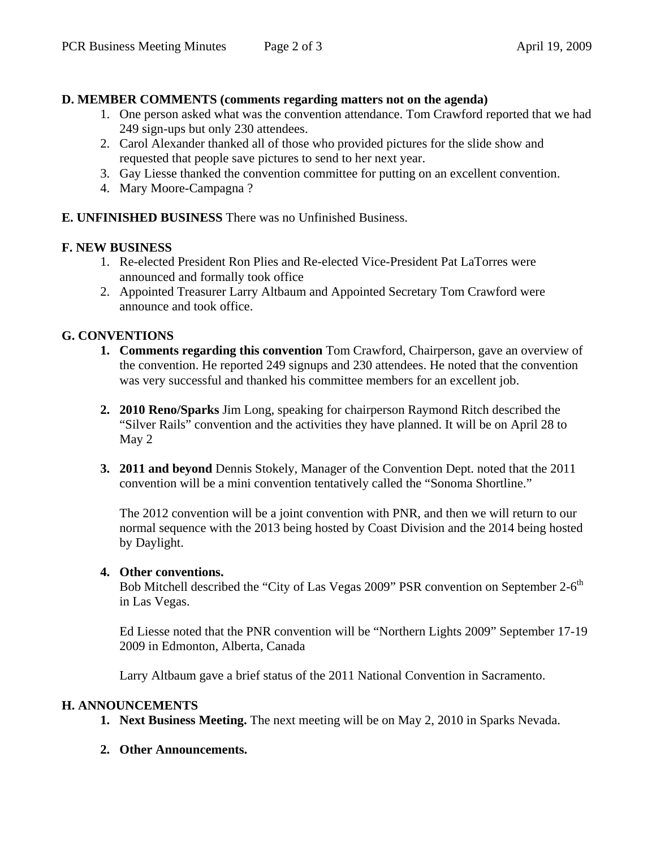#### **D. MEMBER COMMENTS (comments regarding matters not on the agenda)**

- 1. One person asked what was the convention attendance. Tom Crawford reported that we had 249 sign-ups but only 230 attendees.
- 2. Carol Alexander thanked all of those who provided pictures for the slide show and requested that people save pictures to send to her next year.
- 3. Gay Liesse thanked the convention committee for putting on an excellent convention.
- 4. Mary Moore-Campagna ?

#### **E. UNFINISHED BUSINESS** There was no Unfinished Business.

#### **F. NEW BUSINESS**

- 1. Re-elected President Ron Plies and Re-elected Vice-President Pat LaTorres were announced and formally took office
- 2. Appointed Treasurer Larry Altbaum and Appointed Secretary Tom Crawford were announce and took office.

#### **G. CONVENTIONS**

- **1. Comments regarding this convention** Tom Crawford, Chairperson, gave an overview of the convention. He reported 249 signups and 230 attendees. He noted that the convention was very successful and thanked his committee members for an excellent job.
- **2. 2010 Reno/Sparks** Jim Long, speaking for chairperson Raymond Ritch described the "Silver Rails" convention and the activities they have planned. It will be on April 28 to May 2
- **3. 2011 and beyond** Dennis Stokely, Manager of the Convention Dept. noted that the 2011 convention will be a mini convention tentatively called the "Sonoma Shortline."

The 2012 convention will be a joint convention with PNR, and then we will return to our normal sequence with the 2013 being hosted by Coast Division and the 2014 being hosted by Daylight.

#### **4. Other conventions.**

Bob Mitchell described the "City of Las Vegas 2009" PSR convention on September 2-6<sup>th</sup> in Las Vegas.

Ed Liesse noted that the PNR convention will be "Northern Lights 2009" September 17-19 2009 in Edmonton, Alberta, Canada

Larry Altbaum gave a brief status of the 2011 National Convention in Sacramento.

#### **H. ANNOUNCEMENTS**

- **1. Next Business Meeting.** The next meeting will be on May 2, 2010 in Sparks Nevada.
- **2. Other Announcements.**